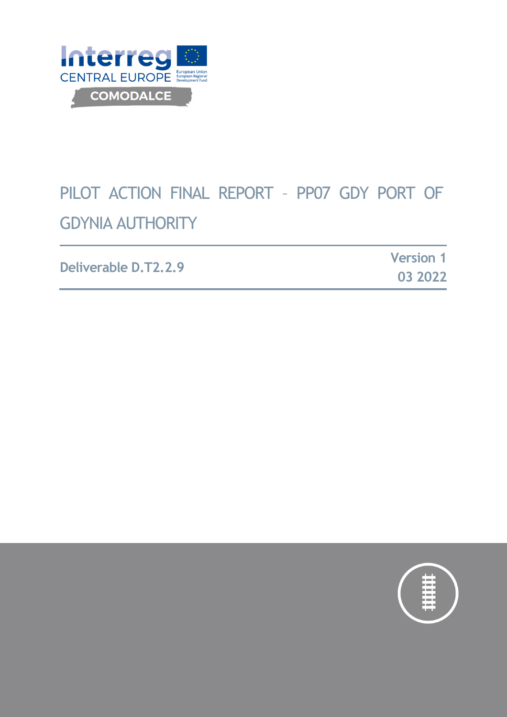

# PILOT ACTION FINAL REPORT – PP07 GDY PORT OF GDYNIA AUTHORITY

| Deliverable D.T2.2.9 | <b>Version 1</b> |  |
|----------------------|------------------|--|
|                      | 03 2022          |  |

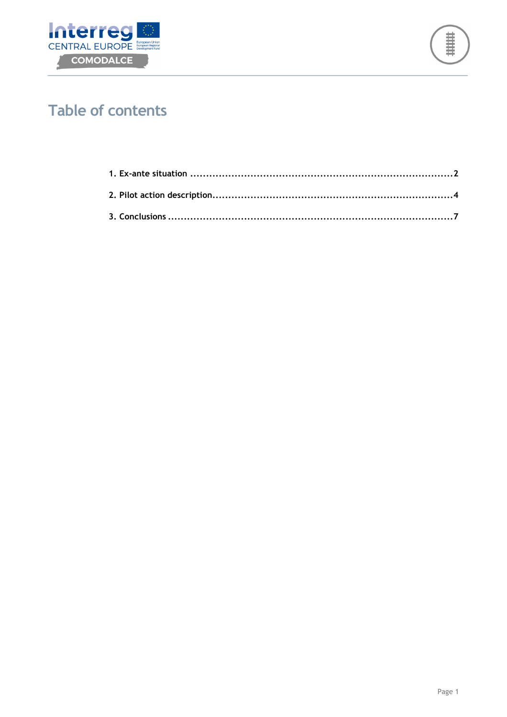



# **Table of contents**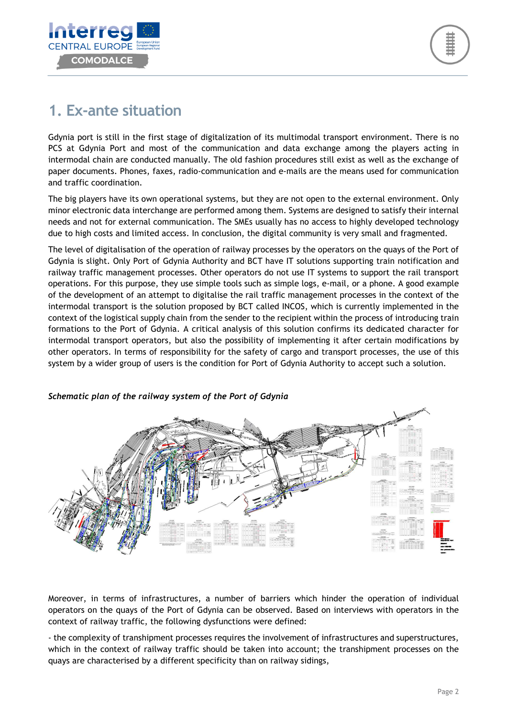

### **1. Ex-ante situation**

Gdynia port is still in the first stage of digitalization of its multimodal transport environment. There is no PCS at Gdynia Port and most of the communication and data exchange among the players acting in intermodal chain are conducted manually. The old fashion procedures still exist as well as the exchange of paper documents. Phones, faxes, radio-communication and e-mails are the means used for communication and traffic coordination.

The big players have its own operational systems, but they are not open to the external environment. Only minor electronic data interchange are performed among them. Systems are designed to satisfy their internal needs and not for external communication. The SMEs usually has no access to highly developed technology due to high costs and limited access. In conclusion, the digital community is very small and fragmented.

The level of digitalisation of the operation of railway processes by the operators on the quays of the Port of Gdynia is slight. Only Port of Gdynia Authority and BCT have IT solutions supporting train notification and railway traffic management processes. Other operators do not use IT systems to support the rail transport operations. For this purpose, they use simple tools such as simple logs, e-mail, or a phone. A good example of the development of an attempt to digitalise the rail traffic management processes in the context of the intermodal transport is the solution proposed by BCT called INCOS, which is currently implemented in the context of the logistical supply chain from the sender to the recipient within the process of introducing train formations to the Port of Gdynia. A critical analysis of this solution confirms its dedicated character for intermodal transport operators, but also the possibility of implementing it after certain modifications by other operators. In terms of responsibility for the safety of cargo and transport processes, the use of this system by a wider group of users is the condition for Port of Gdynia Authority to accept such a solution.



#### *Schematic plan of the railway system of the Port of Gdynia*

Moreover, in terms of infrastructures, a number of barriers which hinder the operation of individual operators on the quays of the Port of Gdynia can be observed. Based on interviews with operators in the context of railway traffic, the following dysfunctions were defined:

- the complexity of transhipment processes requires the involvement of infrastructures and superstructures, which in the context of railway traffic should be taken into account; the transhipment processes on the quays are characterised by a different specificity than on railway sidings,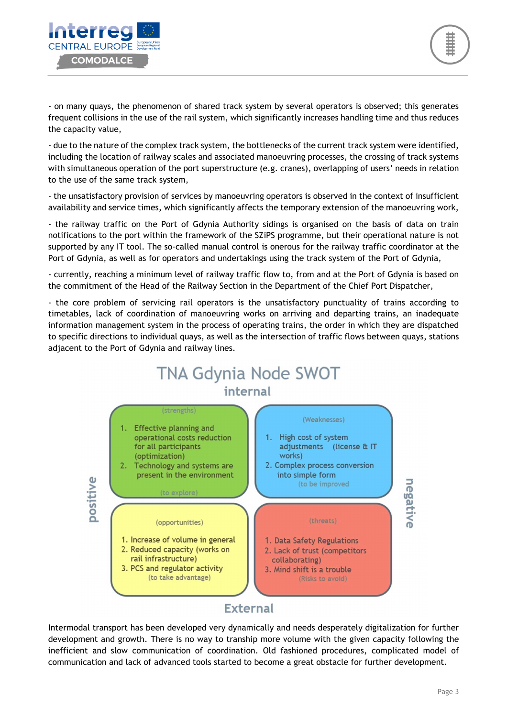

- on many quays, the phenomenon of shared track system by several operators is observed; this generates frequent collisions in the use of the rail system, which significantly increases handling time and thus reduces the capacity value,

- due to the nature of the complex track system, the bottlenecks of the current track system were identified, including the location of railway scales and associated manoeuvring processes, the crossing of track systems with simultaneous operation of the port superstructure (e.g. cranes), overlapping of users' needs in relation to the use of the same track system,

- the unsatisfactory provision of services by manoeuvring operators is observed in the context of insufficient availability and service times, which significantly affects the temporary extension of the manoeuvring work,

- the railway traffic on the Port of Gdynia Authority sidings is organised on the basis of data on train notifications to the port within the framework of the SZiPS programme, but their operational nature is not supported by any IT tool. The so-called manual control is onerous for the railway traffic coordinator at the Port of Gdynia, as well as for operators and undertakings using the track system of the Port of Gdynia,

- currently, reaching a minimum level of railway traffic flow to, from and at the Port of Gdynia is based on the commitment of the Head of the Railway Section in the Department of the Chief Port Dispatcher,

- the core problem of servicing rail operators is the unsatisfactory punctuality of trains according to timetables, lack of coordination of manoeuvring works on arriving and departing trains, an inadequate information management system in the process of operating trains, the order in which they are dispatched to specific directions to individual quays, as well as the intersection of traffic flows between quays, stations adjacent to the Port of Gdynia and railway lines.



Intermodal transport has been developed very dynamically and needs desperately digitalization for further development and growth. There is no way to tranship more volume with the given capacity following the inefficient and slow communication of coordination. Old fashioned procedures, complicated model of communication and lack of advanced tools started to become a great obstacle for further development.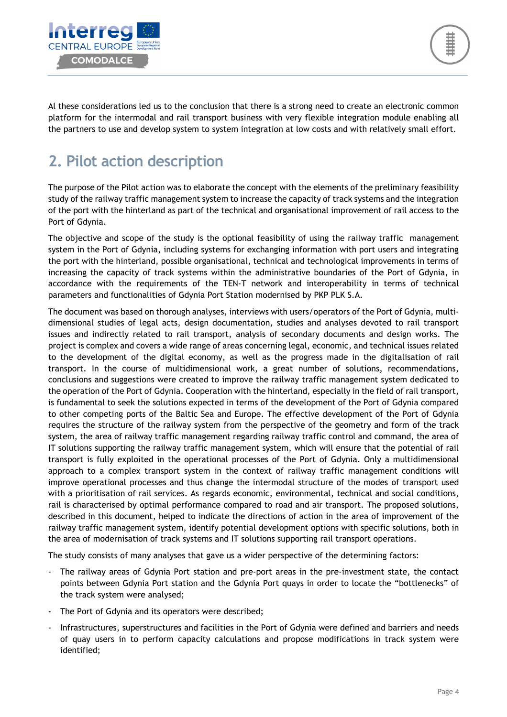

Al these considerations led us to the conclusion that there is a strong need to create an electronic common platform for the intermodal and rail transport business with very flexible integration module enabling all the partners to use and develop system to system integration at low costs and with relatively small effort.

# **2. Pilot action description**

The purpose of the Pilot action was to elaborate the concept with the elements of the preliminary feasibility study of the railway traffic management system to increase the capacity of track systems and the integration of the port with the hinterland as part of the technical and organisational improvement of rail access to the Port of Gdynia.

The objective and scope of the study is the optional feasibility of using the railway traffic management system in the Port of Gdynia, including systems for exchanging information with port users and integrating the port with the hinterland, possible organisational, technical and technological improvements in terms of increasing the capacity of track systems within the administrative boundaries of the Port of Gdynia, in accordance with the requirements of the TEN-T network and interoperability in terms of technical parameters and functionalities of Gdynia Port Station modernised by PKP PLK S.A.

The document was based on thorough analyses, interviews with users/operators of the Port of Gdynia, multidimensional studies of legal acts, design documentation, studies and analyses devoted to rail transport issues and indirectly related to rail transport, analysis of secondary documents and design works. The project is complex and covers a wide range of areas concerning legal, economic, and technical issues related to the development of the digital economy, as well as the progress made in the digitalisation of rail transport. In the course of multidimensional work, a great number of solutions, recommendations, conclusions and suggestions were created to improve the railway traffic management system dedicated to the operation of the Port of Gdynia. Cooperation with the hinterland, especially in the field of rail transport, is fundamental to seek the solutions expected in terms of the development of the Port of Gdynia compared to other competing ports of the Baltic Sea and Europe. The effective development of the Port of Gdynia requires the structure of the railway system from the perspective of the geometry and form of the track system, the area of railway traffic management regarding railway traffic control and command, the area of IT solutions supporting the railway traffic management system, which will ensure that the potential of rail transport is fully exploited in the operational processes of the Port of Gdynia. Only a multidimensional approach to a complex transport system in the context of railway traffic management conditions will improve operational processes and thus change the intermodal structure of the modes of transport used with a prioritisation of rail services. As regards economic, environmental, technical and social conditions, rail is characterised by optimal performance compared to road and air transport. The proposed solutions, described in this document, helped to indicate the directions of action in the area of improvement of the railway traffic management system, identify potential development options with specific solutions, both in the area of modernisation of track systems and IT solutions supporting rail transport operations.

The study consists of many analyses that gave us a wider perspective of the determining factors:

- The railway areas of Gdynia Port station and pre-port areas in the pre-investment state, the contact points between Gdynia Port station and the Gdynia Port quays in order to locate the "bottlenecks" of the track system were analysed;
- The Port of Gdynia and its operators were described;
- Infrastructures, superstructures and facilities in the Port of Gdynia were defined and barriers and needs of quay users in to perform capacity calculations and propose modifications in track system were identified;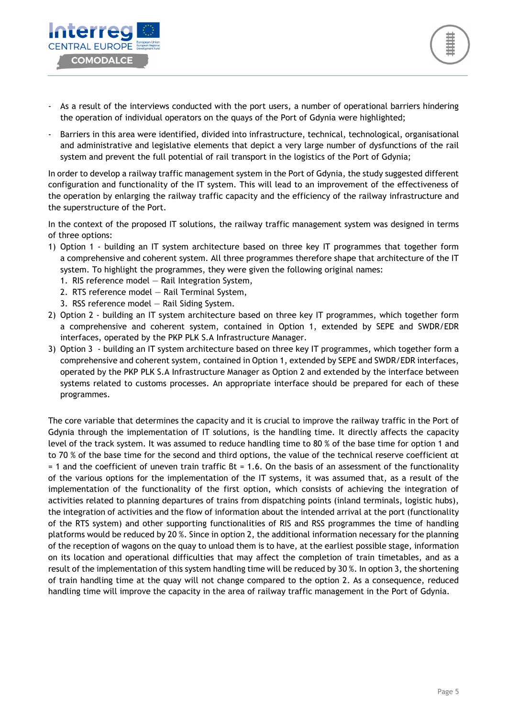

- As a result of the interviews conducted with the port users, a number of operational barriers hindering the operation of individual operators on the quays of the Port of Gdynia were highlighted;
- Barriers in this area were identified, divided into infrastructure, technical, technological, organisational and administrative and legislative elements that depict a very large number of dysfunctions of the rail system and prevent the full potential of rail transport in the logistics of the Port of Gdynia;

In order to develop a railway traffic management system in the Port of Gdynia, the study suggested different configuration and functionality of the IT system. This will lead to an improvement of the effectiveness of the operation by enlarging the railway traffic capacity and the efficiency of the railway infrastructure and the superstructure of the Port.

In the context of the proposed IT solutions, the railway traffic management system was designed in terms of three options:

- 1) Option 1 building an IT system architecture based on three key IT programmes that together form a comprehensive and coherent system. All three programmes therefore shape that architecture of the IT system. To highlight the programmes, they were given the following original names:
	- 1. RIS reference model Rail Integration System,
	- 2. RTS reference model Rail Terminal System,
	- 3. RSS reference model Rail Siding System.
- 2) Option 2 building an IT system architecture based on three key IT programmes, which together form a comprehensive and coherent system, contained in Option 1, extended by SEPE and SWDR/EDR interfaces, operated by the PKP PLK S.A Infrastructure Manager.
- 3) Option 3 building an IT system architecture based on three key IT programmes, which together form a comprehensive and coherent system, contained in Option 1, extended by SEPE and SWDR/EDR interfaces, operated by the PKP PLK S.A Infrastructure Manager as Option 2 and extended by the interface between systems related to customs processes. An appropriate interface should be prepared for each of these programmes.

The core variable that determines the capacity and it is crucial to improve the railway traffic in the Port of Gdynia through the implementation of IT solutions, is the handling time. It directly affects the capacity level of the track system. It was assumed to reduce handling time to 80 % of the base time for option 1 and to 70 % of the base time for the second and third options, the value of the technical reserve coefficient αt = 1 and the coefficient of uneven train traffic βt = 1.6. On the basis of an assessment of the functionality of the various options for the implementation of the IT systems, it was assumed that, as a result of the implementation of the functionality of the first option, which consists of achieving the integration of activities related to planning departures of trains from dispatching points (inland terminals, logistic hubs), the integration of activities and the flow of information about the intended arrival at the port (functionality of the RTS system) and other supporting functionalities of RIS and RSS programmes the time of handling platforms would be reduced by 20 %. Since in option 2, the additional information necessary for the planning of the reception of wagons on the quay to unload them is to have, at the earliest possible stage, information on its location and operational difficulties that may affect the completion of train timetables, and as a result of the implementation of this system handling time will be reduced by 30 %. In option 3, the shortening of train handling time at the quay will not change compared to the option 2. As a consequence, reduced handling time will improve the capacity in the area of railway traffic management in the Port of Gdynia.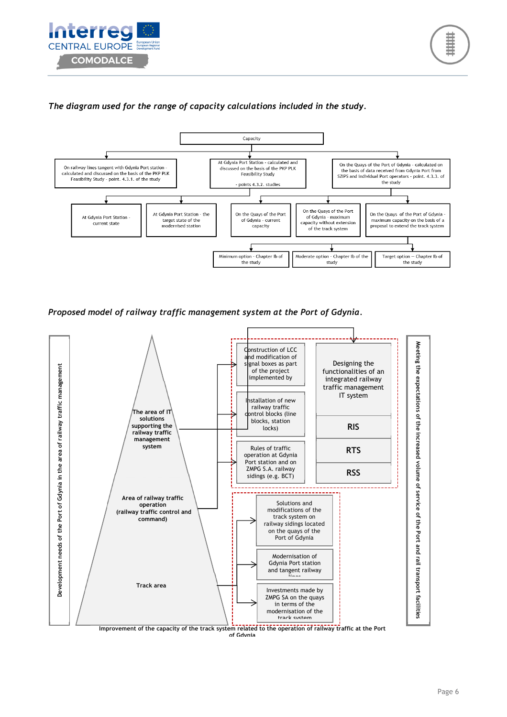



#### *The diagram used for the range of capacity calculations included in the study.*



*Proposed model of railway traffic management system at the Port of Gdynia.* 



**Improvement of the capacity of the track system related to the operation of railway traffic at the Port**  of Gdyni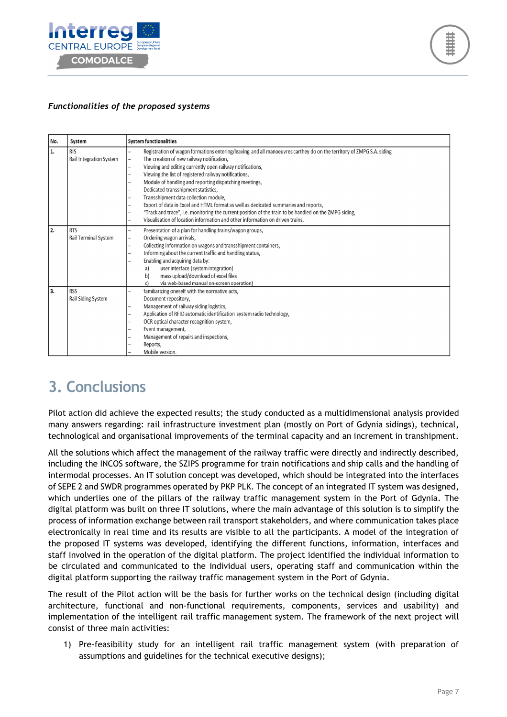



### *Functionalities of the proposed systems*

| l No. | System                                | <b>System functionalities</b>                                                                                                                                                                                                                                                                                                                                                                                                                                                                                                                                                                                                                                                                                                                             |  |
|-------|---------------------------------------|-----------------------------------------------------------------------------------------------------------------------------------------------------------------------------------------------------------------------------------------------------------------------------------------------------------------------------------------------------------------------------------------------------------------------------------------------------------------------------------------------------------------------------------------------------------------------------------------------------------------------------------------------------------------------------------------------------------------------------------------------------------|--|
| 1.    | <b>RIS</b><br>Rail Integration System | Registration of wagon formations entering/leaving and all manoeuvres carthey do on the territory of ZMPG S.A. siding<br>The creation of new railway notification,<br>$\overline{\phantom{0}}$<br>Viewing and editing currently open railway notifications,<br>-<br>Viewing the list of registered railway notifications,<br>-<br>Module of handling and reporting dispatching meetings,<br>Dedicated transshipment statistics,<br>Transshipment data collection module,<br>Export of data in Excel and HTML format as well as dedicated summaries and reports,<br>"Track and trace", i.e. monitoring the current position of the train to be handled on the ZMPG siding,<br>Visualisation of location information and other information on driven trains. |  |
| 2.    | <b>RTS</b><br>Rail Terminal System    | Presentation of a plan for handling trains/wagon groups,<br>Ordering wagon arrivals,<br>-<br>Collecting information on wagons and transshipment containers,<br>-<br>Informing about the current traffic and handling status,<br>Enabling and acquiring data by:<br>user interface (system integration)<br>a)<br>mass upload/download of excel files<br>b)<br>via web-based manual on-screen operation)<br>c)                                                                                                                                                                                                                                                                                                                                              |  |
| l 3.  | <b>RSS</b><br>Rail Siding System      | familiarizing oneself with the normative acts,<br>Document repository,<br>Management of railway siding logistics,<br>-<br>Application of RFID automatic identification system radio technology,<br>OCR optical character recognition system,<br>-<br>Event management,<br>-<br>Management of repairs and inspections,<br>Reports,<br>Mobile version.                                                                                                                                                                                                                                                                                                                                                                                                      |  |

### **3. Conclusions**

Pilot action did achieve the expected results; the study conducted as a multidimensional analysis provided many answers regarding: rail infrastructure investment plan (mostly on Port of Gdynia sidings), technical, technological and organisational improvements of the terminal capacity and an increment in transhipment.

All the solutions which affect the management of the railway traffic were directly and indirectly described, including the INCOS software, the SZIPS programme for train notifications and ship calls and the handling of intermodal processes. An IT solution concept was developed, which should be integrated into the interfaces of SEPE 2 and SWDR programmes operated by PKP PLK. The concept of an integrated IT system was designed, which underlies one of the pillars of the railway traffic management system in the Port of Gdynia. The digital platform was built on three IT solutions, where the main advantage of this solution is to simplify the process of information exchange between rail transport stakeholders, and where communication takes place electronically in real time and its results are visible to all the participants. A model of the integration of the proposed IT systems was developed, identifying the different functions, information, interfaces and staff involved in the operation of the digital platform. The project identified the individual information to be circulated and communicated to the individual users, operating staff and communication within the digital platform supporting the railway traffic management system in the Port of Gdynia.

The result of the Pilot action will be the basis for further works on the technical design (including digital architecture, functional and non-functional requirements, components, services and usability) and implementation of the intelligent rail traffic management system. The framework of the next project will consist of three main activities:

1) Pre-feasibility study for an intelligent rail traffic management system (with preparation of assumptions and guidelines for the technical executive designs);